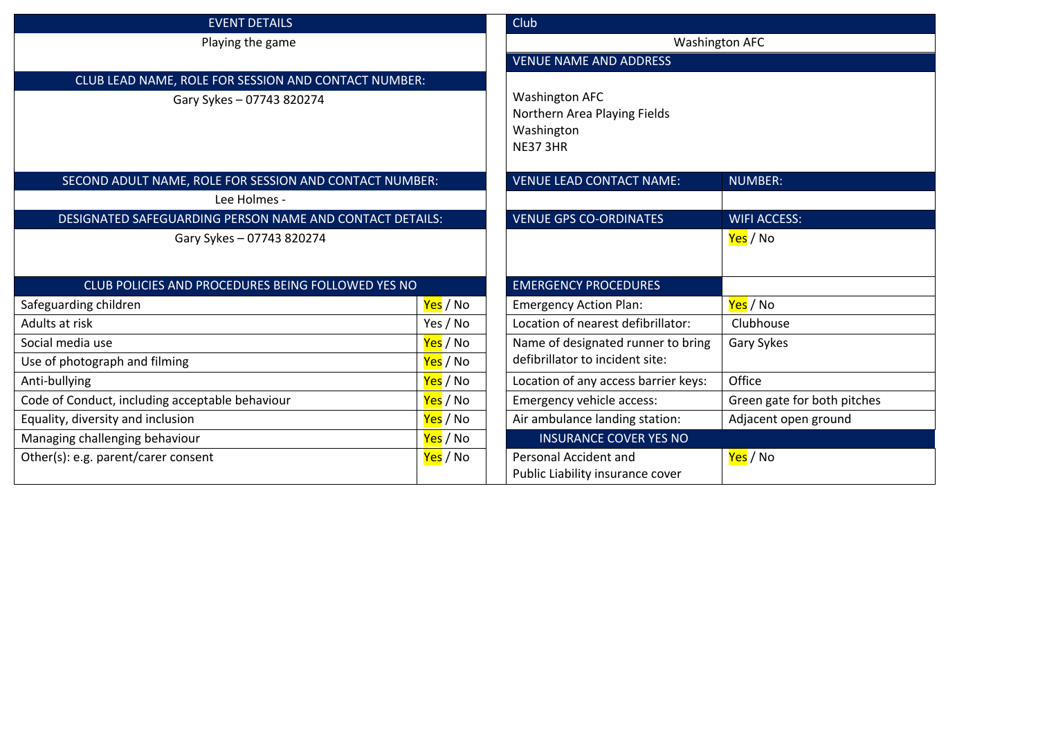| <b>EVENT DETAILS</b>                                     |          | <b>Club</b>                          |                             |                                                         |
|----------------------------------------------------------|----------|--------------------------------------|-----------------------------|---------------------------------------------------------|
| Playing the game                                         |          | <b>Washington AFC</b>                |                             |                                                         |
|                                                          |          | <b>VENUE NAME AND ADDRESS</b>        |                             |                                                         |
| CLUB LEAD NAME, ROLE FOR SESSION AND CONTACT NUMBER:     |          |                                      |                             |                                                         |
| Gary Sykes - 07743 820274                                |          | <b>Washington AFC</b>                |                             |                                                         |
|                                                          |          | Northern Area Playing Fields         |                             |                                                         |
|                                                          |          | Washington<br><b>NE37 3HR</b>        |                             |                                                         |
|                                                          |          |                                      |                             | SECOND ADULT NAME, ROLE FOR SESSION AND CONTACT NUMBER: |
| Lee Holmes -                                             |          |                                      |                             |                                                         |
| DESIGNATED SAFEGUARDING PERSON NAME AND CONTACT DETAILS: |          | <b>VENUE GPS CO-ORDINATES</b>        | <b>WIFI ACCESS:</b>         |                                                         |
| Gary Sykes - 07743 820274                                |          |                                      | Yes / No                    |                                                         |
|                                                          |          |                                      |                             |                                                         |
| CLUB POLICIES AND PROCEDURES BEING FOLLOWED YES NO       |          | <b>EMERGENCY PROCEDURES</b>          |                             |                                                         |
| Safeguarding children                                    | Yes / No | <b>Emergency Action Plan:</b>        | Yes / No                    |                                                         |
| Adults at risk                                           | Yes / No | Location of nearest defibrillator:   | Clubhouse                   |                                                         |
| Social media use                                         | Yes / No | Name of designated runner to bring   | <b>Gary Sykes</b>           |                                                         |
| Use of photograph and filming                            | Yes / No | defibrillator to incident site:      |                             |                                                         |
| Anti-bullying                                            | Yes / No | Location of any access barrier keys: | Office                      |                                                         |
| Code of Conduct, including acceptable behaviour          | Yes / No | Emergency vehicle access:            | Green gate for both pitches |                                                         |
| Equality, diversity and inclusion<br>Yes / No            |          | Air ambulance landing station:       | Adjacent open ground        |                                                         |
| Managing challenging behaviour<br>Yes / No               |          | <b>INSURANCE COVER YES NO</b>        |                             |                                                         |
| Other(s): e.g. parent/carer consent                      | Yes / No | Personal Accident and                | Yes / No                    |                                                         |
|                                                          |          | Public Liability insurance cover     |                             |                                                         |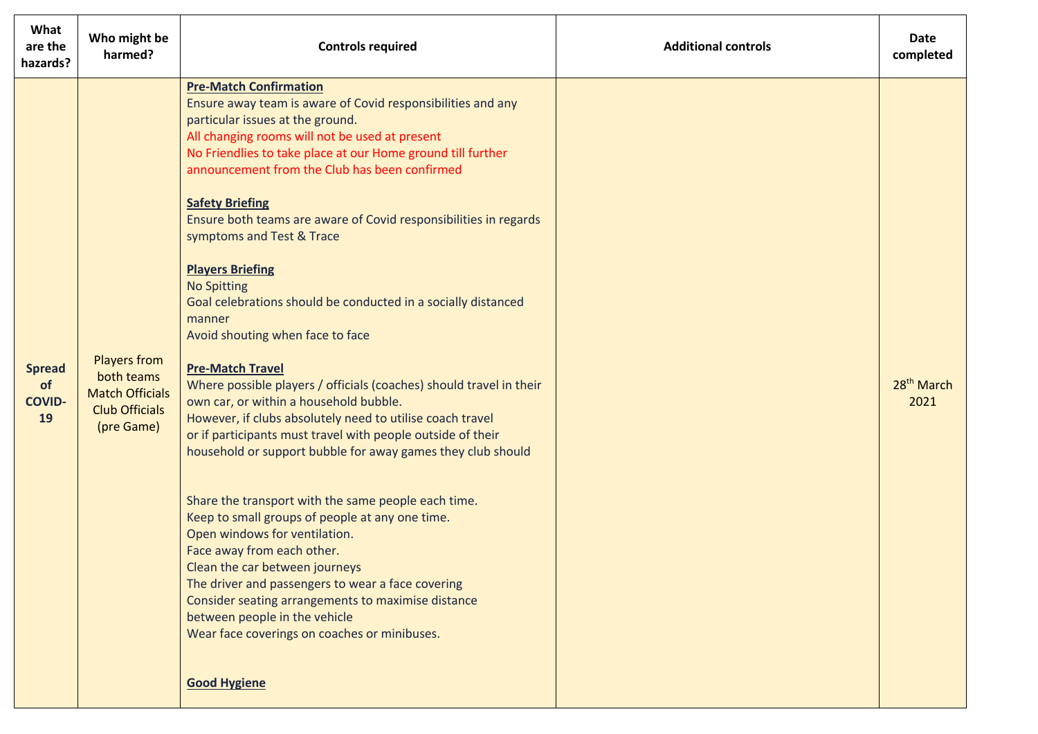| What<br>are the<br>hazards?                | Who might be<br>harmed?                                                                            | <b>Controls required</b>                                                                                                                                                                                                                                                                                                                                                                                                                                                                                                                                                                                                                                                                                                                                                                                                                                                                                                                                                                                                                                                                                                                                                                                                                                                                                                                                           | <b>Additional controls</b> | Date<br>completed              |
|--------------------------------------------|----------------------------------------------------------------------------------------------------|--------------------------------------------------------------------------------------------------------------------------------------------------------------------------------------------------------------------------------------------------------------------------------------------------------------------------------------------------------------------------------------------------------------------------------------------------------------------------------------------------------------------------------------------------------------------------------------------------------------------------------------------------------------------------------------------------------------------------------------------------------------------------------------------------------------------------------------------------------------------------------------------------------------------------------------------------------------------------------------------------------------------------------------------------------------------------------------------------------------------------------------------------------------------------------------------------------------------------------------------------------------------------------------------------------------------------------------------------------------------|----------------------------|--------------------------------|
| <b>Spread</b><br>of<br><b>COVID-</b><br>19 | <b>Players from</b><br>both teams<br><b>Match Officials</b><br><b>Club Officials</b><br>(pre Game) | <b>Pre-Match Confirmation</b><br>Ensure away team is aware of Covid responsibilities and any<br>particular issues at the ground.<br>All changing rooms will not be used at present<br>No Friendlies to take place at our Home ground till further<br>announcement from the Club has been confirmed<br><b>Safety Briefing</b><br>Ensure both teams are aware of Covid responsibilities in regards<br>symptoms and Test & Trace<br><b>Players Briefing</b><br><b>No Spitting</b><br>Goal celebrations should be conducted in a socially distanced<br>manner<br>Avoid shouting when face to face<br><b>Pre-Match Travel</b><br>Where possible players / officials (coaches) should travel in their<br>own car, or within a household bubble.<br>However, if clubs absolutely need to utilise coach travel<br>or if participants must travel with people outside of their<br>household or support bubble for away games they club should<br>Share the transport with the same people each time.<br>Keep to small groups of people at any one time.<br>Open windows for ventilation.<br>Face away from each other.<br>Clean the car between journeys<br>The driver and passengers to wear a face covering<br>Consider seating arrangements to maximise distance<br>between people in the vehicle<br>Wear face coverings on coaches or minibuses.<br><b>Good Hygiene</b> |                            | 28 <sup>th</sup> March<br>2021 |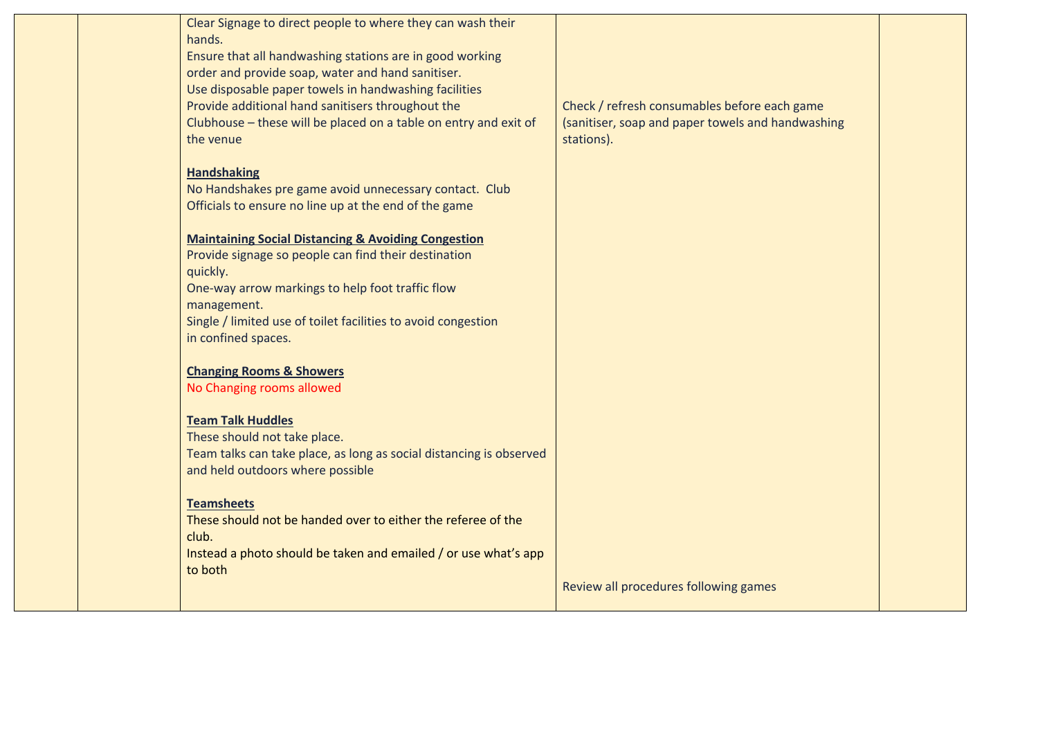| Clear Signage to direct people to where they can wash their         |                                                   |  |
|---------------------------------------------------------------------|---------------------------------------------------|--|
| hands.                                                              |                                                   |  |
| Ensure that all handwashing stations are in good working            |                                                   |  |
| order and provide soap, water and hand sanitiser.                   |                                                   |  |
| Use disposable paper towels in handwashing facilities               |                                                   |  |
| Provide additional hand sanitisers throughout the                   | Check / refresh consumables before each game      |  |
| Clubhouse – these will be placed on a table on entry and exit of    | (sanitiser, soap and paper towels and handwashing |  |
| the venue                                                           | stations).                                        |  |
|                                                                     |                                                   |  |
| <b>Handshaking</b>                                                  |                                                   |  |
| No Handshakes pre game avoid unnecessary contact. Club              |                                                   |  |
| Officials to ensure no line up at the end of the game               |                                                   |  |
|                                                                     |                                                   |  |
| <b>Maintaining Social Distancing &amp; Avoiding Congestion</b>      |                                                   |  |
| Provide signage so people can find their destination                |                                                   |  |
| quickly.                                                            |                                                   |  |
| One-way arrow markings to help foot traffic flow                    |                                                   |  |
| management.                                                         |                                                   |  |
| Single / limited use of toilet facilities to avoid congestion       |                                                   |  |
| in confined spaces.                                                 |                                                   |  |
|                                                                     |                                                   |  |
| <b>Changing Rooms &amp; Showers</b>                                 |                                                   |  |
| No Changing rooms allowed                                           |                                                   |  |
|                                                                     |                                                   |  |
| <b>Team Talk Huddles</b>                                            |                                                   |  |
| These should not take place.                                        |                                                   |  |
| Team talks can take place, as long as social distancing is observed |                                                   |  |
| and held outdoors where possible                                    |                                                   |  |
|                                                                     |                                                   |  |
| <b>Teamsheets</b>                                                   |                                                   |  |
| These should not be handed over to either the referee of the        |                                                   |  |
| club.                                                               |                                                   |  |
| Instead a photo should be taken and emailed / or use what's app     |                                                   |  |
| to both                                                             |                                                   |  |
|                                                                     | Review all procedures following games             |  |
|                                                                     |                                                   |  |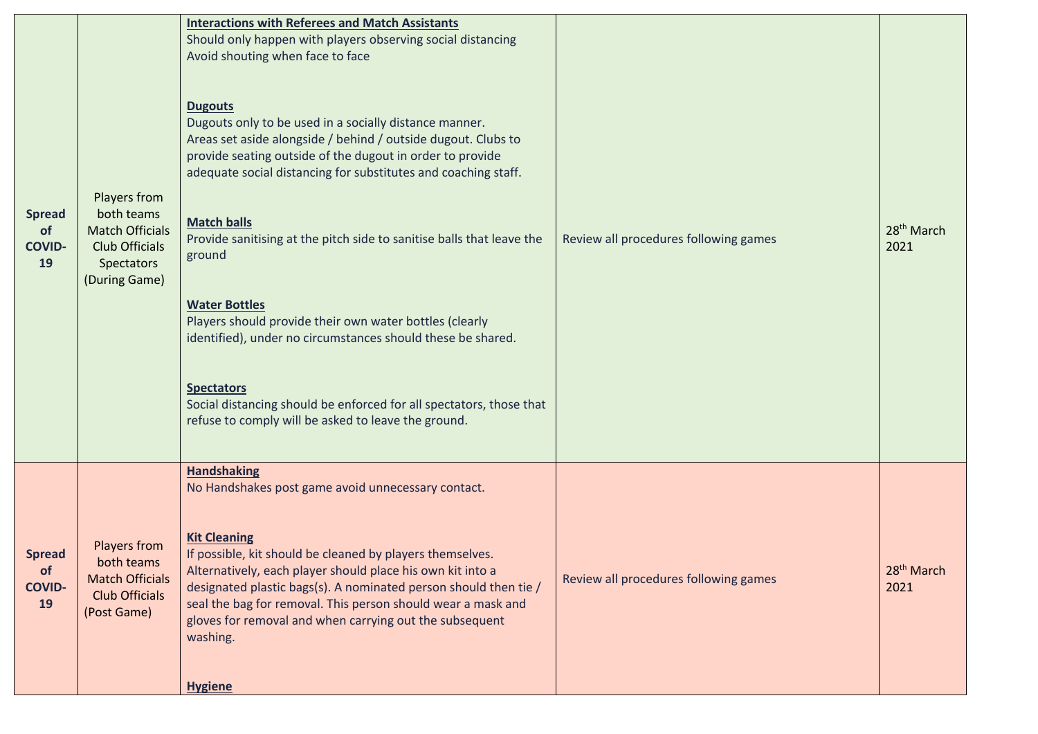| <b>Spread</b><br>of<br><b>COVID-</b><br>19 | Players from<br>both teams<br><b>Match Officials</b><br><b>Club Officials</b><br>Spectators<br>(During Game) | <b>Interactions with Referees and Match Assistants</b><br>Should only happen with players observing social distancing<br>Avoid shouting when face to face<br><b>Dugouts</b><br>Dugouts only to be used in a socially distance manner.<br>Areas set aside alongside / behind / outside dugout. Clubs to<br>provide seating outside of the dugout in order to provide<br>adequate social distancing for substitutes and coaching staff.<br><b>Match balls</b><br>Provide sanitising at the pitch side to sanitise balls that leave the<br>ground<br><b>Water Bottles</b><br>Players should provide their own water bottles (clearly<br>identified), under no circumstances should these be shared.<br><b>Spectators</b><br>Social distancing should be enforced for all spectators, those that<br>refuse to comply will be asked to leave the ground. | Review all procedures following games | 28 <sup>th</sup> March<br>2021 |
|--------------------------------------------|--------------------------------------------------------------------------------------------------------------|-----------------------------------------------------------------------------------------------------------------------------------------------------------------------------------------------------------------------------------------------------------------------------------------------------------------------------------------------------------------------------------------------------------------------------------------------------------------------------------------------------------------------------------------------------------------------------------------------------------------------------------------------------------------------------------------------------------------------------------------------------------------------------------------------------------------------------------------------------|---------------------------------------|--------------------------------|
| <b>Spread</b><br>of<br><b>COVID-</b><br>19 | Players from<br>both teams<br><b>Match Officials</b><br><b>Club Officials</b><br>(Post Game)                 | <b>Handshaking</b><br>No Handshakes post game avoid unnecessary contact.<br><b>Kit Cleaning</b><br>If possible, kit should be cleaned by players themselves.<br>Alternatively, each player should place his own kit into a<br>designated plastic bags(s). A nominated person should then tie /<br>seal the bag for removal. This person should wear a mask and<br>gloves for removal and when carrying out the subsequent<br>washing.<br><b>Hygiene</b>                                                                                                                                                                                                                                                                                                                                                                                             | Review all procedures following games | 28 <sup>th</sup> March<br>2021 |